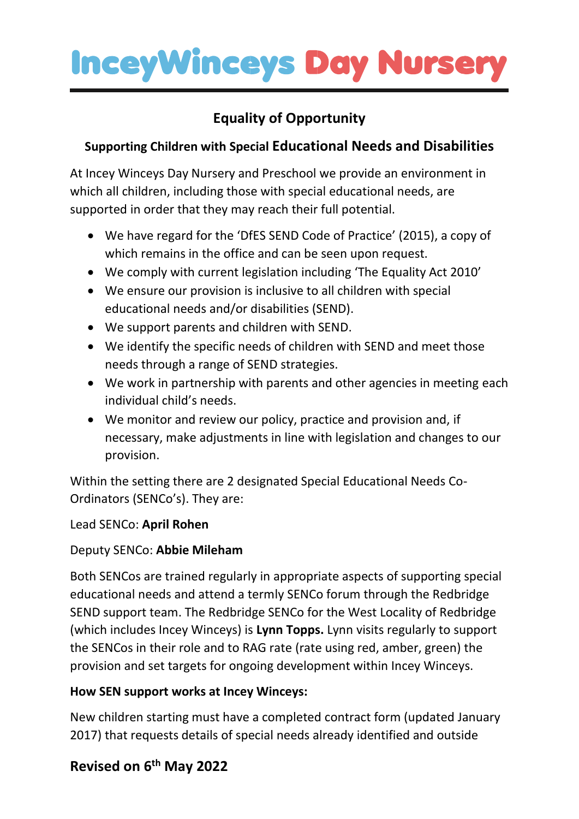## **Equality of Opportunity**

### **Supporting Children with Special Educational Needs and Disabilities**

At Incey Winceys Day Nursery and Preschool we provide an environment in which all children, including those with special educational needs, are supported in order that they may reach their full potential.

- We have regard for the 'DfES SEND Code of Practice' (2015), a copy of which remains in the office and can be seen upon request.
- We comply with current legislation including 'The Equality Act 2010'
- We ensure our provision is inclusive to all children with special educational needs and/or disabilities (SEND).
- We support parents and children with SEND.
- We identify the specific needs of children with SEND and meet those needs through a range of SEND strategies.
- We work in partnership with parents and other agencies in meeting each individual child's needs.
- We monitor and review our policy, practice and provision and, if necessary, make adjustments in line with legislation and changes to our provision.

Within the setting there are 2 designated Special Educational Needs Co-Ordinators (SENCo's). They are:

Lead SENCo: **April Rohen**

### Deputy SENCo: **Abbie Mileham**

Both SENCos are trained regularly in appropriate aspects of supporting special educational needs and attend a termly SENCo forum through the Redbridge SEND support team. The Redbridge SENCo for the West Locality of Redbridge (which includes Incey Winceys) is **Lynn Topps.** Lynn visits regularly to support the SENCos in their role and to RAG rate (rate using red, amber, green) the provision and set targets for ongoing development within Incey Winceys.

### **How SEN support works at Incey Winceys:**

New children starting must have a completed contract form (updated January 2017) that requests details of special needs already identified and outside

## **Revised on 6 th May 2022**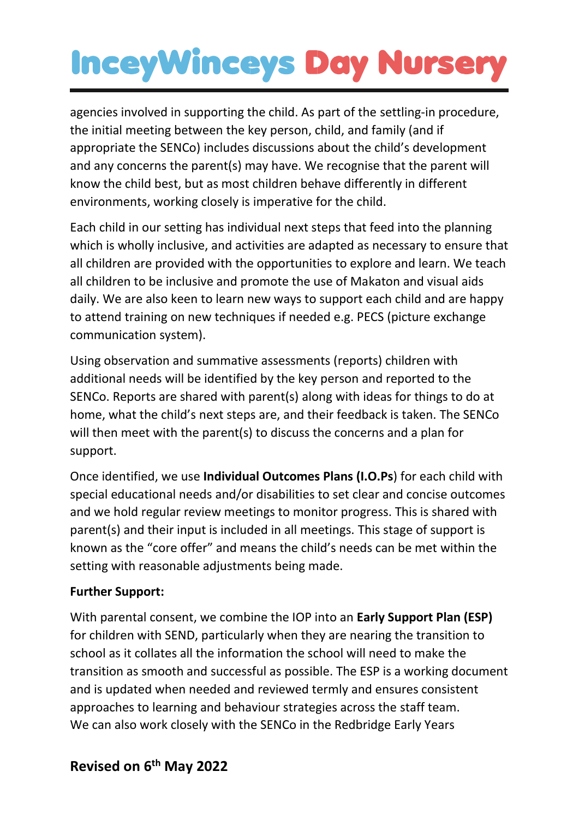agencies involved in supporting the child. As part of the settling-in procedure, the initial meeting between the key person, child, and family (and if appropriate the SENCo) includes discussions about the child's development and any concerns the parent(s) may have. We recognise that the parent will know the child best, but as most children behave differently in different environments, working closely is imperative for the child.

Each child in our setting has individual next steps that feed into the planning which is wholly inclusive, and activities are adapted as necessary to ensure that all children are provided with the opportunities to explore and learn. We teach all children to be inclusive and promote the use of Makaton and visual aids daily. We are also keen to learn new ways to support each child and are happy to attend training on new techniques if needed e.g. PECS (picture exchange communication system).

Using observation and summative assessments (reports) children with additional needs will be identified by the key person and reported to the SENCo. Reports are shared with parent(s) along with ideas for things to do at home, what the child's next steps are, and their feedback is taken. The SENCo will then meet with the parent(s) to discuss the concerns and a plan for support.

Once identified, we use **Individual Outcomes Plans (I.O.Ps**) for each child with special educational needs and/or disabilities to set clear and concise outcomes and we hold regular review meetings to monitor progress. This is shared with parent(s) and their input is included in all meetings. This stage of support is known as the "core offer" and means the child's needs can be met within the setting with reasonable adjustments being made.

#### **Further Support:**

With parental consent, we combine the IOP into an **Early Support Plan (ESP)** for children with SEND, particularly when they are nearing the transition to school as it collates all the information the school will need to make the transition as smooth and successful as possible. The ESP is a working document and is updated when needed and reviewed termly and ensures consistent approaches to learning and behaviour strategies across the staff team. We can also work closely with the SENCo in the Redbridge Early Years

### **Revised on 6 th May 2022**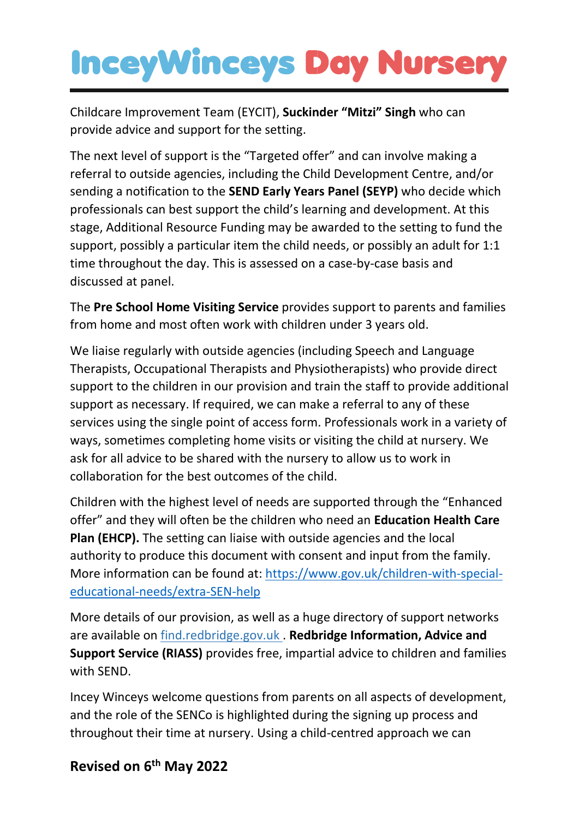Childcare Improvement Team (EYCIT), **Suckinder "Mitzi" Singh** who can provide advice and support for the setting.

The next level of support is the "Targeted offer" and can involve making a referral to outside agencies, including the Child Development Centre, and/or sending a notification to the **SEND Early Years Panel (SEYP)** who decide which professionals can best support the child's learning and development. At this stage, Additional Resource Funding may be awarded to the setting to fund the support, possibly a particular item the child needs, or possibly an adult for 1:1 time throughout the day. This is assessed on a case-by-case basis and discussed at panel.

The **Pre School Home Visiting Service** provides support to parents and families from home and most often work with children under 3 years old.

We liaise regularly with outside agencies (including Speech and Language Therapists, Occupational Therapists and Physiotherapists) who provide direct support to the children in our provision and train the staff to provide additional support as necessary. If required, we can make a referral to any of these services using the single point of access form. Professionals work in a variety of ways, sometimes completing home visits or visiting the child at nursery. We ask for all advice to be shared with the nursery to allow us to work in collaboration for the best outcomes of the child.

Children with the highest level of needs are supported through the "Enhanced offer" and they will often be the children who need an **Education Health Care Plan (EHCP).** The setting can liaise with outside agencies and the local authority to produce this document with consent and input from the family. More information can be found at: [https://www.gov.uk/children-with-special](https://www.gov.uk/children-with-special-educational-needs/extra-SEN-help)[educational-needs/extra-SEN-help](https://www.gov.uk/children-with-special-educational-needs/extra-SEN-help)

More details of our provision, as well as a huge directory of support networks are available on find.redbridge.gov.uk . **Redbridge Information, Advice and Support Service (RIASS)** provides free, impartial advice to children and families with SEND.

Incey Winceys welcome questions from parents on all aspects of development, and the role of the SENCo is highlighted during the signing up process and throughout their time at nursery. Using a child-centred approach we can

## **Revised on 6 th May 2022**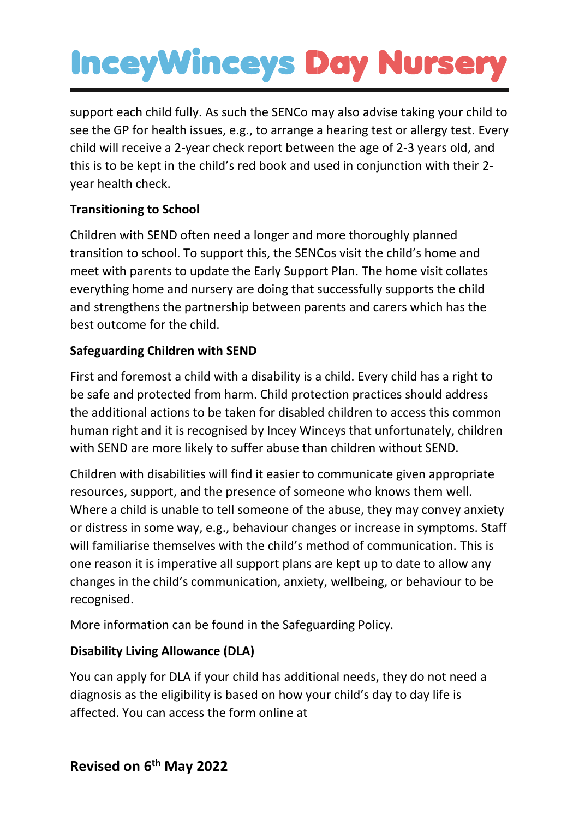support each child fully. As such the SENCo may also advise taking your child to see the GP for health issues, e.g., to arrange a hearing test or allergy test. Every child will receive a 2-year check report between the age of 2-3 years old, and this is to be kept in the child's red book and used in conjunction with their 2 year health check.

#### **Transitioning to School**

Children with SEND often need a longer and more thoroughly planned transition to school. To support this, the SENCos visit the child's home and meet with parents to update the Early Support Plan. The home visit collates everything home and nursery are doing that successfully supports the child and strengthens the partnership between parents and carers which has the best outcome for the child.

#### **Safeguarding Children with SEND**

First and foremost a child with a disability is a child. Every child has a right to be safe and protected from harm. Child protection practices should address the additional actions to be taken for disabled children to access this common human right and it is recognised by Incey Winceys that unfortunately, children with SEND are more likely to suffer abuse than children without SEND.

Children with disabilities will find it easier to communicate given appropriate resources, support, and the presence of someone who knows them well. Where a child is unable to tell someone of the abuse, they may convey anxiety or distress in some way, e.g., behaviour changes or increase in symptoms. Staff will familiarise themselves with the child's method of communication. This is one reason it is imperative all support plans are kept up to date to allow any changes in the child's communication, anxiety, wellbeing, or behaviour to be recognised.

More information can be found in the Safeguarding Policy.

### **Disability Living Allowance (DLA)**

You can apply for DLA if your child has additional needs, they do not need a diagnosis as the eligibility is based on how your child's day to day life is affected. You can access the form online at